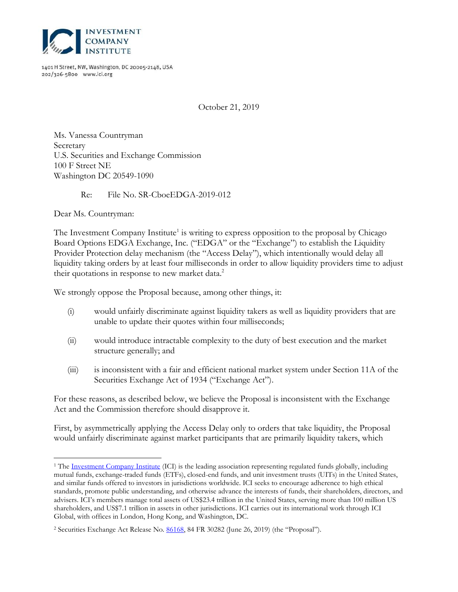

1401 H Street, NW, Washington, DC 20005-2148, USA 202/326-5800 www.ici.org

October 21, 2019

<span id="page-0-0"></span>Ms. Vanessa Countryman Secretary U.S. Securities and Exchange Commission 100 F Street NE Washington DC 20549-1090

Re: File No. SR-CboeEDGA-2019-012

Dear Ms. Countryman:

 $\overline{a}$ 

The Investment Company Institute<sup>1</sup> is writing to express opposition to the proposal by Chicago Board Options EDGA Exchange, Inc. ("EDGA" or the "Exchange") to establish the Liquidity Provider Protection delay mechanism (the "Access Delay"), which intentionally would delay all liquidity taking orders by at least four milliseconds in order to allow liquidity providers time to adjust their quotations in response to new market data.<sup>2</sup>

We strongly oppose the Proposal because, among other things, it:

- (i) would unfairly discriminate against liquidity takers as well as liquidity providers that are unable to update their quotes within four milliseconds;
- (ii) would introduce intractable complexity to the duty of best execution and the market structure generally; and
- (iii) is inconsistent with a fair and efficient national market system under Section 11A of the Securities Exchange Act of 1934 ("Exchange Act").

For these reasons, as described below, we believe the Proposal is inconsistent with the Exchange Act and the Commission therefore should disapprove it.

First, by asymmetrically applying the Access Delay only to orders that take liquidity, the Proposal would unfairly discriminate against market participants that are primarily liquidity takers, which

<sup>&</sup>lt;sup>1</sup> The **Investment Company Institute** (ICI) is the leading association representing regulated funds globally, including mutual funds, exchange-traded funds (ETFs), closed-end funds, and unit investment trusts (UITs) in the United States, and similar funds offered to investors in jurisdictions worldwide. ICI seeks to encourage adherence to high ethical standards, promote public understanding, and otherwise advance the interests of funds, their shareholders, directors, and advisers. ICI's members manage total assets of US\$23.4 trillion in the United States, serving more than 100 million US shareholders, and US\$7.1 trillion in assets in other jurisdictions. ICI carries out its international work through ICI Global, with offices in London, Hong Kong, and Washington, DC.

<sup>&</sup>lt;sup>2</sup> Securities Exchange Act Release No. **86168**, 84 FR 30282 (June 26, 2019) (the "Proposal").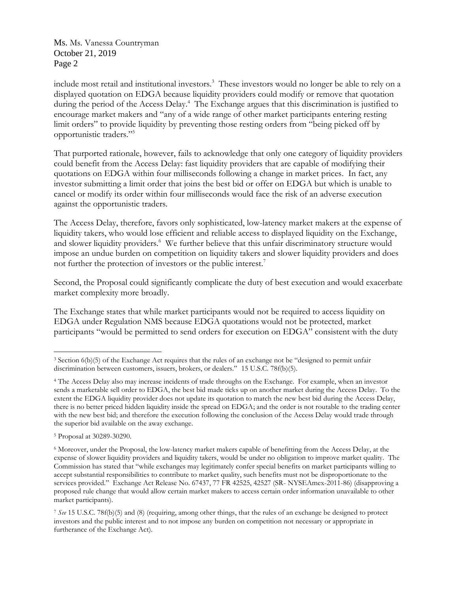Ms. [Ms. Vanessa Countryman](#page-0-0) October 21, 2019 Page 2

include most retail and institutional investors.<sup>3</sup> These investors would no longer be able to rely on a displayed quotation on EDGA because liquidity providers could modify or remove that quotation during the period of the Access Delay.<sup>4</sup> The Exchange argues that this discrimination is justified to encourage market makers and "any of a wide range of other market participants entering resting limit orders" to provide liquidity by preventing those resting orders from "being picked off by opportunistic traders."<sup>5</sup>

That purported rationale, however, fails to acknowledge that only one category of liquidity providers could benefit from the Access Delay: fast liquidity providers that are capable of modifying their quotations on EDGA within four milliseconds following a change in market prices. In fact, any investor submitting a limit order that joins the best bid or offer on EDGA but which is unable to cancel or modify its order within four milliseconds would face the risk of an adverse execution against the opportunistic traders.

The Access Delay, therefore, favors only sophisticated, low-latency market makers at the expense of liquidity takers, who would lose efficient and reliable access to displayed liquidity on the Exchange, and slower liquidity providers.<sup>6</sup> We further believe that this unfair discriminatory structure would impose an undue burden on competition on liquidity takers and slower liquidity providers and does not further the protection of investors or the public interest.<sup>7</sup>

Second, the Proposal could significantly complicate the duty of best execution and would exacerbate market complexity more broadly.

The Exchange states that while market participants would not be required to access liquidity on EDGA under Regulation NMS because EDGA quotations would not be protected, market participants "would be permitted to send orders for execution on EDGA" consistent with the duty

 $\overline{a}$ 

<sup>3</sup> Section 6(b)(5) of the Exchange Act requires that the rules of an exchange not be "designed to permit unfair discrimination between customers, issuers, brokers, or dealers." 15 U.S.C. 78f(b)(5).

<sup>4</sup> The Access Delay also may increase incidents of trade throughs on the Exchange. For example, when an investor sends a marketable sell order to EDGA, the best bid made ticks up on another market during the Access Delay. To the extent the EDGA liquidity provider does not update its quotation to match the new best bid during the Access Delay, there is no better priced hidden liquidity inside the spread on EDGA; and the order is not routable to the trading center with the new best bid; and therefore the execution following the conclusion of the Access Delay would trade through the superior bid available on the away exchange.

<sup>5</sup> Proposal at 30289-30290.

<sup>6</sup> Moreover, under the Proposal, the low-latency market makers capable of benefitting from the Access Delay, at the expense of slower liquidity providers and liquidity takers, would be under no obligation to improve market quality. The Commission has stated that "while exchanges may legitimately confer special benefits on market participants willing to accept substantial responsibilities to contribute to market quality, such benefits must not be disproportionate to the services provided." Exchange Act Release No. 67437, 77 FR 42525, 42527 (SR- NYSEAmex-2011-86) (disapproving a proposed rule change that would allow certain market makers to access certain order information unavailable to other market participants).

<sup>7</sup> *See* 15 U.S.C. 78f(b)(5) and (8) (requiring, among other things, that the rules of an exchange be designed to protect investors and the public interest and to not impose any burden on competition not necessary or appropriate in furtherance of the Exchange Act).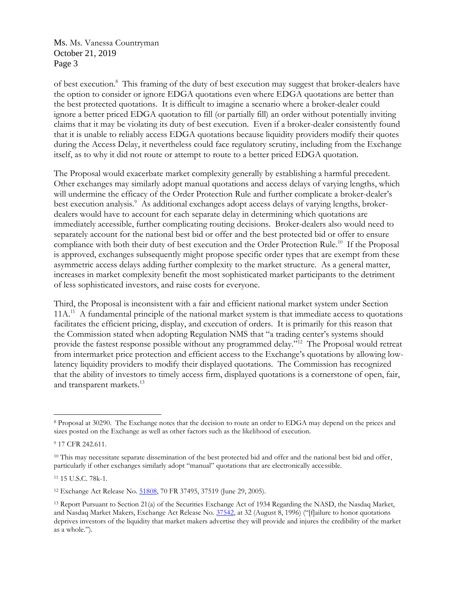Ms. [Ms. Vanessa Countryman](#page-0-0) October 21, 2019 Page 3

of best execution.<sup>8</sup> This framing of the duty of best execution may suggest that broker-dealers have the option to consider or ignore EDGA quotations even where EDGA quotations are better than the best protected quotations. It is difficult to imagine a scenario where a broker-dealer could ignore a better priced EDGA quotation to fill (or partially fill) an order without potentially inviting claims that it may be violating its duty of best execution. Even if a broker-dealer consistently found that it is unable to reliably access EDGA quotations because liquidity providers modify their quotes during the Access Delay, it nevertheless could face regulatory scrutiny, including from the Exchange itself, as to why it did not route or attempt to route to a better priced EDGA quotation.

The Proposal would exacerbate market complexity generally by establishing a harmful precedent. Other exchanges may similarly adopt manual quotations and access delays of varying lengths, which will undermine the efficacy of the Order Protection Rule and further complicate a broker-dealer's best execution analysis.<sup>9</sup> As additional exchanges adopt access delays of varying lengths, brokerdealers would have to account for each separate delay in determining which quotations are immediately accessible, further complicating routing decisions. Broker-dealers also would need to separately account for the national best bid or offer and the best protected bid or offer to ensure compliance with both their duty of best execution and the Order Protection Rule.<sup>10</sup> If the Proposal is approved, exchanges subsequently might propose specific order types that are exempt from these asymmetric access delays adding further complexity to the market structure. As a general matter, increases in market complexity benefit the most sophisticated market participants to the detriment of less sophisticated investors, and raise costs for everyone.

Third, the Proposal is inconsistent with a fair and efficient national market system under Section 11A.<sup>11</sup> A fundamental principle of the national market system is that immediate access to quotations facilitates the efficient pricing, display, and execution of orders. It is primarily for this reason that the Commission stated when adopting Regulation NMS that "a trading center's systems should provide the fastest response possible without any programmed delay."<sup>12</sup> The Proposal would retreat from intermarket price protection and efficient access to the Exchange's quotations by allowing lowlatency liquidity providers to modify their displayed quotations. The Commission has recognized that the ability of investors to timely access firm, displayed quotations is a cornerstone of open, fair, and transparent markets.<sup>13</sup>

 $\overline{a}$ 

<sup>11</sup> 15 U.S.C. 78k-1.

<sup>8</sup> Proposal at 30290. The Exchange notes that the decision to route an order to EDGA may depend on the prices and sizes posted on the Exchange as well as other factors such as the likelihood of execution.

<sup>9</sup> 17 CFR 242.611.

<sup>&</sup>lt;sup>10</sup> This may necessitate separate dissemination of the best protected bid and offer and the national best bid and offer, particularly if other exchanges similarly adopt "manual" quotations that are electronically accessible.

<sup>12</sup> Exchange Act Release No. [51808,](https://www.govinfo.gov/content/pkg/FR-2005-06-29/pdf/05-11802.pdf) 70 FR 37495, 37519 (June 29, 2005).

<sup>13</sup> Report Pursuant to Section 21(a) of the Securities Exchange Act of 1934 Regarding the NASD, the Nasdaq Market, and Nasdaq Market Makers, Exchange Act Release No. [37542,](https://www.sec.gov/litigation/investreport/nd21a-report.txt) at 32 (August 8, 1996) ("[f]ailure to honor quotations deprives investors of the liquidity that market makers advertise they will provide and injures the credibility of the market as a whole.").